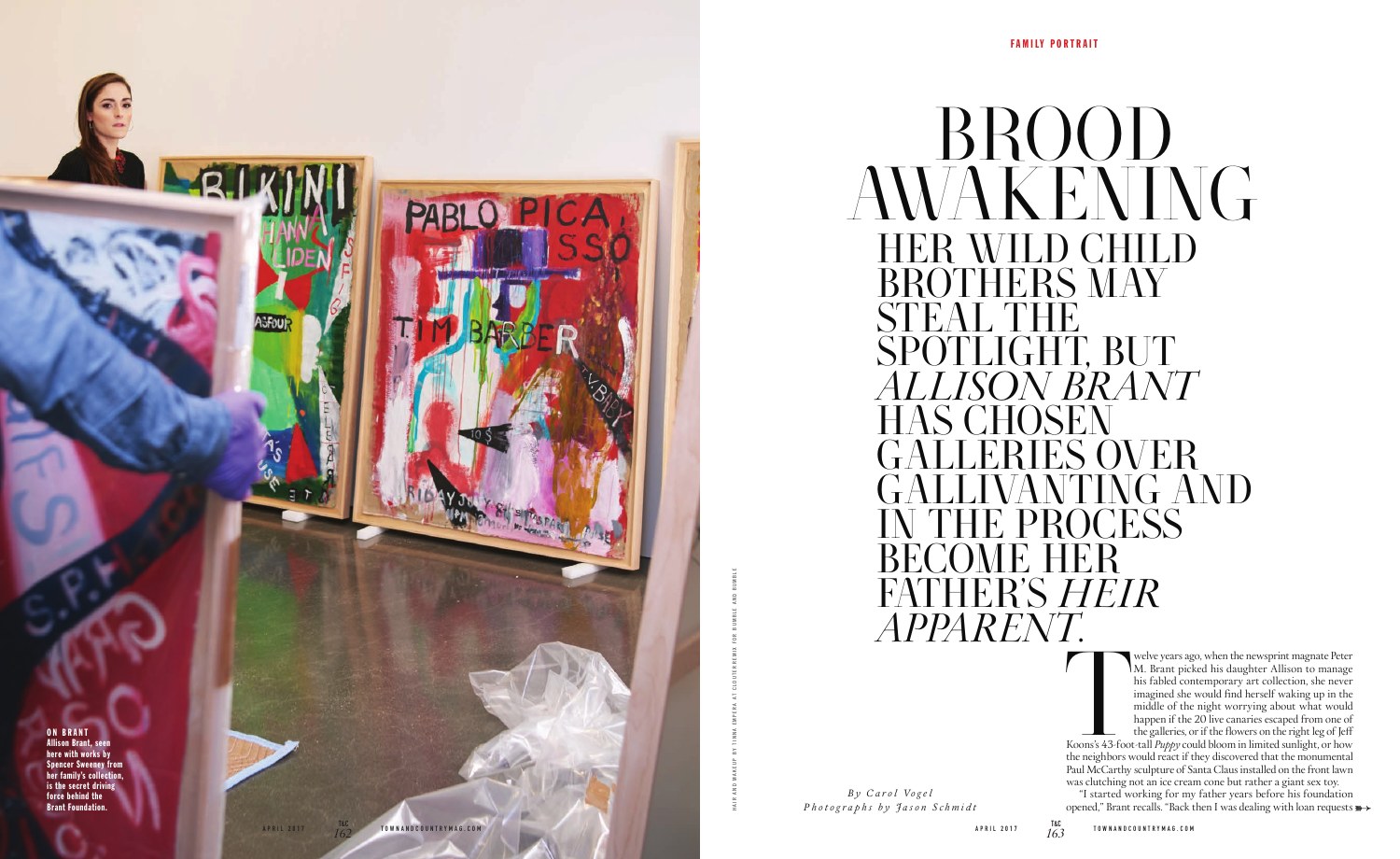*Photographs by Jason Schmidt B y C a r o l Vo g e l*

## HER WILD CHILD BROTHERS MAY<br>STEAT, THE STEAL THE SPOTLIGHT, BUT *ALLISON BRANT* HAS CHOSEN WER<sup></sup> NTING AND CESS<sup>®</sup> BECOME HER FATHER'S *HEIR APPARENT*. BROOD AWAKENING

FAMILY PORTRAIT

Koons's 43-foot Koons's 43-foot-tall *Puppy* could bloom in limited sunlight, or how the neighbors would react if they discovered that the monumental Paul McCarthy sculpture of Santa Claus installed on the front lawn was clutching not an ice cream cone but rather a giant sex toy.

"I started working for my father years before his foundation opened," Brant recalls. "Back then I was dealing with loan requests  $\gg$ 

welve years ago, when the newsprint magnate Peter M. Brant picked his daughter Allison to manage his fabled contemporary art collection, she never imagined she would find herself waking up in the middle of the night worrying about what would happen if the 20 live canaries escaped from one of the galleries, or if the flowers on the right leg of Jeff



HAIR AND MAKEUP BY TINNA EMPERA AT CLOUTERREMIX FOR BUMBLE AND BUMBLE